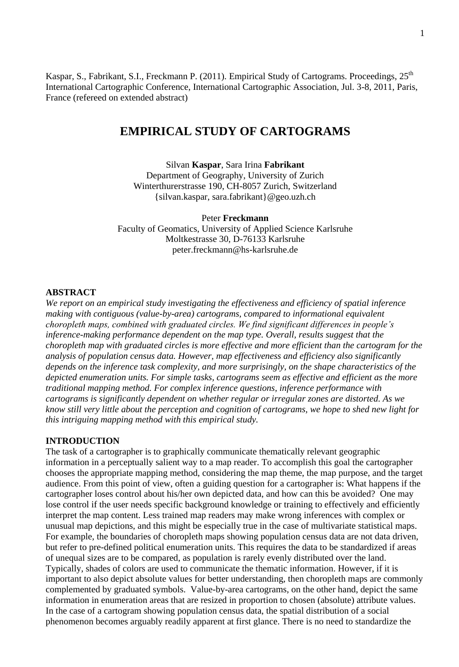Kaspar, S., Fabrikant, S.I., Freckmann P. (2011). Empirical Study of Cartograms. Proceedings, 25<sup>th</sup> International Cartographic Conference, International Cartographic Association, Jul. 3-8, 2011, Paris, France (refereed on extended abstract)

# **EMPIRICAL STUDY OF CARTOGRAMS**

Silvan **Kaspar**, Sara Irina **Fabrikant** Department of Geography, University of Zurich Winterthurerstrasse 190, CH-8057 Zurich, Switzerland {silvan.kaspar, sara.fabrikant}@geo.uzh.ch

#### Peter **Freckmann**

Faculty of Geomatics, University of Applied Science Karlsruhe Moltkestrasse 30, D-76133 Karlsruhe peter.freckmann@hs-karlsruhe.de

# **ABSTRACT**

*We report on an empirical study investigating the effectiveness and efficiency of spatial inference making with contiguous (value-by-area) cartograms, compared to informational equivalent choropleth maps, combined with graduated circles. We find significant differences in people's inference-making performance dependent on the map type. Overall, results suggest that the choropleth map with graduated circles is more effective and more efficient than the cartogram for the analysis of population census data. However, map effectiveness and efficiency also significantly depends on the inference task complexity, and more surprisingly, on the shape characteristics of the depicted enumeration units. For simple tasks, cartograms seem as effective and efficient as the more traditional mapping method. For complex inference questions, inference performance with cartograms is significantly dependent on whether regular or irregular zones are distorted. As we know still very little about the perception and cognition of cartograms, we hope to shed new light for this intriguing mapping method with this empirical study.*

## **INTRODUCTION**

The task of a cartographer is to graphically communicate thematically relevant geographic information in a perceptually salient way to a map reader. To accomplish this goal the cartographer chooses the appropriate mapping method, considering the map theme, the map purpose, and the target audience. From this point of view, often a guiding question for a cartographer is: What happens if the cartographer loses control about his/her own depicted data, and how can this be avoided? One may lose control if the user needs specific background knowledge or training to effectively and efficiently interpret the map content. Less trained map readers may make wrong inferences with complex or unusual map depictions, and this might be especially true in the case of multivariate statistical maps. For example, the boundaries of choropleth maps showing population census data are not data driven, but refer to pre-defined political enumeration units. This requires the data to be standardized if areas of unequal sizes are to be compared, as population is rarely evenly distributed over the land. Typically, shades of colors are used to communicate the thematic information. However, if it is important to also depict absolute values for better understanding, then choropleth maps are commonly complemented by graduated symbols. Value-by-area cartograms, on the other hand, depict the same information in enumeration areas that are resized in proportion to chosen (absolute) attribute values. In the case of a cartogram showing population census data, the spatial distribution of a social phenomenon becomes arguably readily apparent at first glance. There is no need to standardize the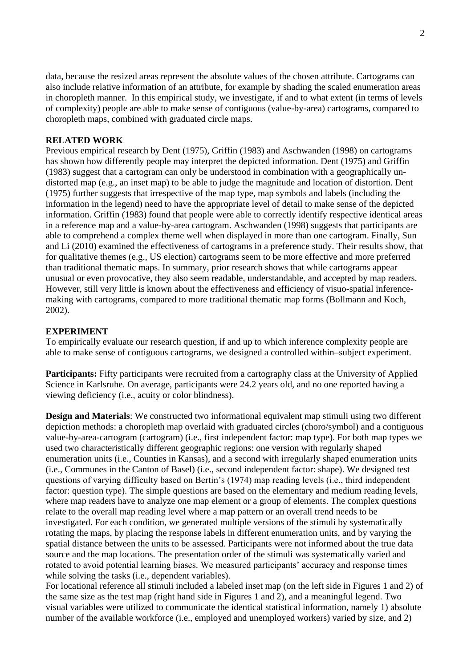data, because the resized areas represent the absolute values of the chosen attribute. Cartograms can also include relative information of an attribute, for example by shading the scaled enumeration areas in choropleth manner. In this empirical study, we investigate, if and to what extent (in terms of levels of complexity) people are able to make sense of contiguous (value-by-area) cartograms, compared to choropleth maps, combined with graduated circle maps.

# **RELATED WORK**

Previous empirical research by Dent (1975), Griffin (1983) and Aschwanden (1998) on cartograms has shown how differently people may interpret the depicted information. Dent (1975) and Griffin (1983) suggest that a cartogram can only be understood in combination with a geographically undistorted map (e.g., an inset map) to be able to judge the magnitude and location of distortion. Dent (1975) further suggests that irrespective of the map type, map symbols and labels (including the information in the legend) need to have the appropriate level of detail to make sense of the depicted information. Griffin (1983) found that people were able to correctly identify respective identical areas in a reference map and a value-by-area cartogram. Aschwanden (1998) suggests that participants are able to comprehend a complex theme well when displayed in more than one cartogram. Finally, Sun and Li (2010) examined the effectiveness of cartograms in a preference study. Their results show, that for qualitative themes (e.g., US election) cartograms seem to be more effective and more preferred than traditional thematic maps. In summary, prior research shows that while cartograms appear unusual or even provocative, they also seem readable, understandable, and accepted by map readers. However, still very little is known about the effectiveness and efficiency of visuo-spatial inferencemaking with cartograms, compared to more traditional thematic map forms (Bollmann and Koch, 2002).

# **EXPERIMENT**

To empirically evaluate our research question, if and up to which inference complexity people are able to make sense of contiguous cartograms, we designed a controlled within–subject experiment.

**Participants:** Fifty participants were recruited from a cartography class at the University of Applied Science in Karlsruhe. On average, participants were 24.2 years old, and no one reported having a viewing deficiency (i.e., acuity or color blindness).

**Design and Materials**: We constructed two informational equivalent map stimuli using two different depiction methods: a choropleth map overlaid with graduated circles (choro/symbol) and a contiguous value-by-area-cartogram (cartogram) (i.e., first independent factor: map type). For both map types we used two characteristically different geographic regions: one version with regularly shaped enumeration units (i.e., Counties in Kansas), and a second with irregularly shaped enumeration units (i.e., Communes in the Canton of Basel) (i.e., second independent factor: shape). We designed test questions of varying difficulty based on Bertin's (1974) map reading levels (i.e., third independent factor: question type). The simple questions are based on the elementary and medium reading levels, where map readers have to analyze one map element or a group of elements. The complex questions relate to the overall map reading level where a map pattern or an overall trend needs to be investigated. For each condition, we generated multiple versions of the stimuli by systematically rotating the maps, by placing the response labels in different enumeration units, and by varying the spatial distance between the units to be assessed. Participants were not informed about the true data source and the map locations. The presentation order of the stimuli was systematically varied and rotated to avoid potential learning biases. We measured participants' accuracy and response times while solving the tasks (i.e., dependent variables).

For locational reference all stimuli included a labeled inset map (on the left side in Figures 1 and 2) of the same size as the test map (right hand side in Figures 1 and 2), and a meaningful legend. Two visual variables were utilized to communicate the identical statistical information, namely 1) absolute number of the available workforce (i.e., employed and unemployed workers) varied by size, and 2)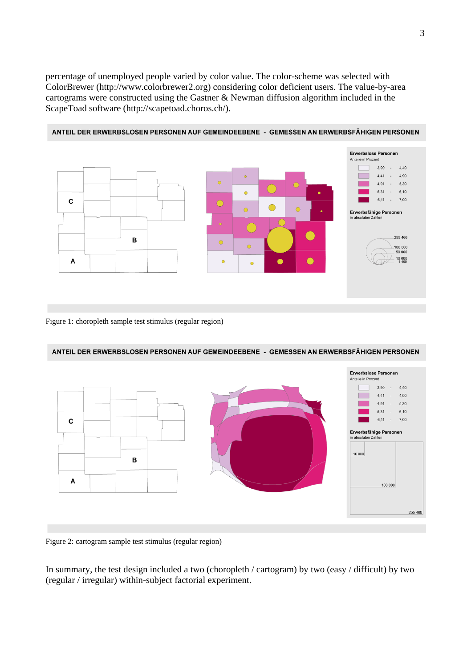percentage of unemployed people varied by color value. The color-scheme was selected with ColorBrewer (http://www.colorbrewer2.org) considering color deficient users. The value-by-area cartograms were constructed using the Gastner & Newman diffusion algorithm included in the ScapeToad software (http://scapetoad.choros.ch/).



ANTEIL DER ERWERBSLOSEN PERSONEN AUF GEMEINDEEBENE - GEMESSEN AN ERWERBSFÄHIGEN PERSONEN

#### Figure 1: choropleth sample test stimulus (regular region)



Figure 2: cartogram sample test stimulus (regular region)

In summary, the test design included a two (choropleth / cartogram) by two (easy / difficult) by two (regular / irregular) within-subject factorial experiment.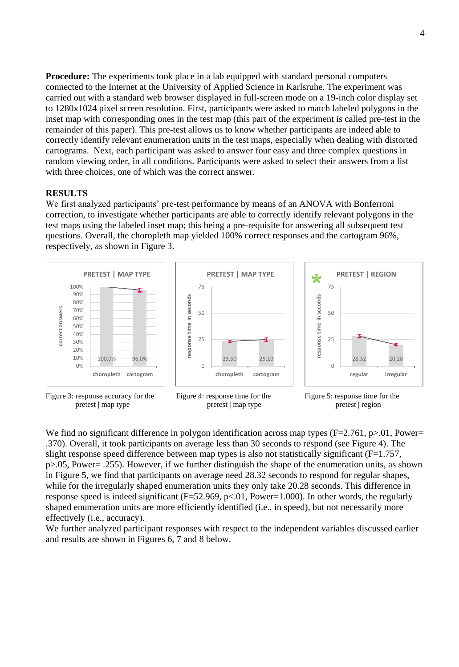**Procedure:** The experiments took place in a lab equipped with standard personal computers connected to the Internet at the University of Applied Science in Karlsruhe. The experiment was carried out with a standard web browser displayed in full-screen mode on a 19-inch color display set to 1280x1024 pixel screen resolution. First, participants were asked to match labeled polygons in the inset map with corresponding ones in the test map (this part of the experiment is called pre-test in the remainder of this paper). This pre-test allows us to know whether participants are indeed able to correctly identify relevant enumeration units in the test maps, especially when dealing with distorted cartograms. Next, each participant was asked to answer four easy and three complex questions in random viewing order, in all conditions. Participants were asked to select their answers from a list with three choices, one of which was the correct answer.

## **RESULTS**

We first analyzed participants' pre-test performance by means of an ANOVA with Bonferroni correction, to investigate whether participants are able to correctly identify relevant polygons in the test maps using the labeled inset map; this being a pre-requisite for answering all subsequent test questions. Overall, the choropleth map yielded 100% correct responses and the cartogram 96%, respectively, as shown in Figure 3.



Figure 3: response accuracy for the pretest | map type





We find no significant difference in polygon identification across map types  $(F=2.761, p>0.01, Power=$ .370). Overall, it took participants on average less than 30 seconds to respond (see Figure 4). The slight response speed difference between map types is also not statistically significant (F=1.757, p>.05, Power= .255). However, if we further distinguish the shape of the enumeration units, as shown in Figure 5, we find that participants on average need 28.32 seconds to respond for regular shapes, while for the irregularly shaped enumeration units they only take 20.28 seconds. This difference in response speed is indeed significant (F=52.969, p<.01, Power=1.000). In other words, the regularly shaped enumeration units are more efficiently identified (i.e., in speed), but not necessarily more effectively (i.e., accuracy).

We further analyzed participant responses with respect to the independent variables discussed earlier and results are shown in Figures 6, 7 and 8 below.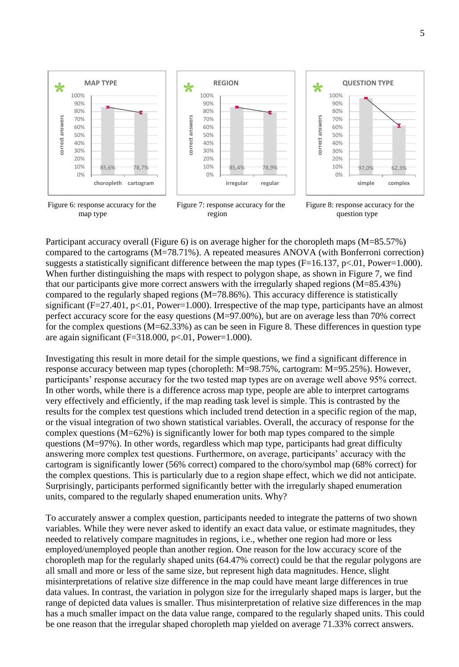

Figure 6: response accuracy for the map type





Participant accuracy overall (Figure 6) is on average higher for the choropleth maps (M=85.57%) compared to the cartograms (M=78.71%). A repeated measures ANOVA (with Bonferroni correction) suggests a statistically significant difference between the map types (F=16.137, p<.01, Power=1.000). When further distinguishing the maps with respect to polygon shape, as shown in Figure 7, we find that our participants give more correct answers with the irregularly shaped regions (M=85.43%) compared to the regularly shaped regions (M=78.86%). This accuracy difference is statistically significant ( $F=27.401$ ,  $p<.01$ , Power=1.000). Irrespective of the map type, participants have an almost perfect accuracy score for the easy questions (M=97.00%), but are on average less than 70% correct for the complex questions (M=62.33%) as can be seen in Figure 8. These differences in question type are again significant ( $F=318.000$ ,  $p<0.01$ , Power=1.000).

Investigating this result in more detail for the simple questions, we find a significant difference in response accuracy between map types (choropleth: M=98.75%, cartogram: M=95.25%). However, participants' response accuracy for the two tested map types are on average well above 95% correct. In other words, while there is a difference across map type, people are able to interpret cartograms very effectively and efficiently, if the map reading task level is simple. This is contrasted by the results for the complex test questions which included trend detection in a specific region of the map, or the visual integration of two shown statistical variables. Overall, the accuracy of response for the complex questions (M=62%) is significantly lower for both map types compared to the simple questions (M=97%). In other words, regardless which map type, participants had great difficulty answering more complex test questions. Furthermore, on average, participants' accuracy with the cartogram is significantly lower (56% correct) compared to the choro/symbol map (68% correct) for the complex questions. This is particularly due to a region shape effect, which we did not anticipate. Surprisingly, participants performed significantly better with the irregularly shaped enumeration units, compared to the regularly shaped enumeration units. Why?

To accurately answer a complex question, participants needed to integrate the patterns of two shown variables. While they were never asked to identify an exact data value, or estimate magnitudes, they needed to relatively compare magnitudes in regions, i.e., whether one region had more or less employed/unemployed people than another region. One reason for the low accuracy score of the choropleth map for the regularly shaped units (64.47% correct) could be that the regular polygons are all small and more or less of the same size, but represent high data magnitudes. Hence, slight misinterpretations of relative size difference in the map could have meant large differences in true data values. In contrast, the variation in polygon size for the irregularly shaped maps is larger, but the range of depicted data values is smaller. Thus misinterpretation of relative size differences in the map has a much smaller impact on the data value range, compared to the regularly shaped units. This could be one reason that the irregular shaped choropleth map yielded on average 71.33% correct answers.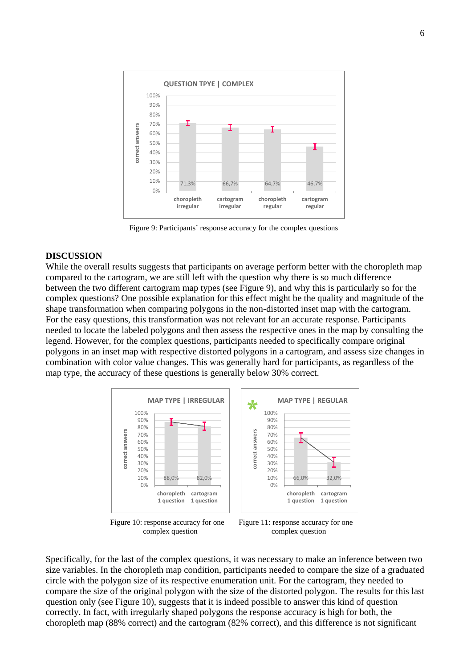

Figure 9: Participants´ response accuracy for the complex questions

#### **DISCUSSION**

While the overall results suggests that participants on average perform better with the choropleth map compared to the cartogram, we are still left with the question why there is so much difference between the two different cartogram map types (see Figure 9), and why this is particularly so for the complex questions? One possible explanation for this effect might be the quality and magnitude of the shape transformation when comparing polygons in the non-distorted inset map with the cartogram. For the easy questions, this transformation was not relevant for an accurate response. Participants needed to locate the labeled polygons and then assess the respective ones in the map by consulting the legend. However, for the complex questions, participants needed to specifically compare original polygons in an inset map with respective distorted polygons in a cartogram, and assess size changes in combination with color value changes. This was generally hard for participants, as regardless of the map type, the accuracy of these questions is generally below 30% correct.



Figure 10: response accuracy for one complex question

Figure 11: response accuracy for one complex question

Specifically, for the last of the complex questions, it was necessary to make an inference between two size variables. In the choropleth map condition, participants needed to compare the size of a graduated circle with the polygon size of its respective enumeration unit. For the cartogram, they needed to compare the size of the original polygon with the size of the distorted polygon. The results for this last question only (see Figure 10), suggests that it is indeed possible to answer this kind of question correctly. In fact, with irregularly shaped polygons the response accuracy is high for both, the choropleth map (88% correct) and the cartogram (82% correct), and this difference is not significant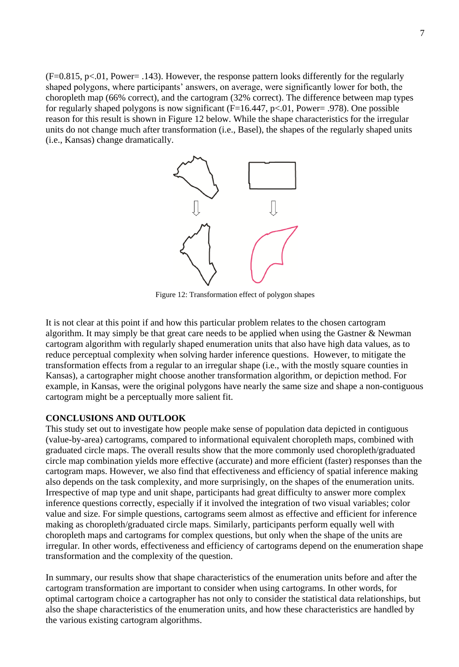$(F=0.815, p<0.01, Power=.143)$ . However, the response pattern looks differently for the regularly shaped polygons, where participants' answers, on average, were significantly lower for both, the choropleth map (66% correct), and the cartogram (32% correct). The difference between map types for regularly shaped polygons is now significant ( $F=16.447$ ,  $p<.01$ , Power= .978). One possible reason for this result is shown in Figure 12 below. While the shape characteristics for the irregular units do not change much after transformation (i.e., Basel), the shapes of the regularly shaped units (i.e., Kansas) change dramatically.



Figure 12: Transformation effect of polygon shapes

It is not clear at this point if and how this particular problem relates to the chosen cartogram algorithm. It may simply be that great care needs to be applied when using the Gastner  $\&$  Newman cartogram algorithm with regularly shaped enumeration units that also have high data values, as to reduce perceptual complexity when solving harder inference questions. However, to mitigate the transformation effects from a regular to an irregular shape (i.e., with the mostly square counties in Kansas), a cartographer might choose another transformation algorithm, or depiction method. For example, in Kansas, were the original polygons have nearly the same size and shape a non-contiguous cartogram might be a perceptually more salient fit.

## **CONCLUSIONS AND OUTLOOK**

This study set out to investigate how people make sense of population data depicted in contiguous (value-by-area) cartograms, compared to informational equivalent choropleth maps, combined with graduated circle maps. The overall results show that the more commonly used choropleth/graduated circle map combination yields more effective (accurate) and more efficient (faster) responses than the cartogram maps. However, we also find that effectiveness and efficiency of spatial inference making also depends on the task complexity, and more surprisingly, on the shapes of the enumeration units. Irrespective of map type and unit shape, participants had great difficulty to answer more complex inference questions correctly, especially if it involved the integration of two visual variables; color value and size. For simple questions, cartograms seem almost as effective and efficient for inference making as choropleth/graduated circle maps. Similarly, participants perform equally well with choropleth maps and cartograms for complex questions, but only when the shape of the units are irregular. In other words, effectiveness and efficiency of cartograms depend on the enumeration shape transformation and the complexity of the question.

In summary, our results show that shape characteristics of the enumeration units before and after the cartogram transformation are important to consider when using cartograms. In other words, for optimal cartogram choice a cartographer has not only to consider the statistical data relationships, but also the shape characteristics of the enumeration units, and how these characteristics are handled by the various existing cartogram algorithms.